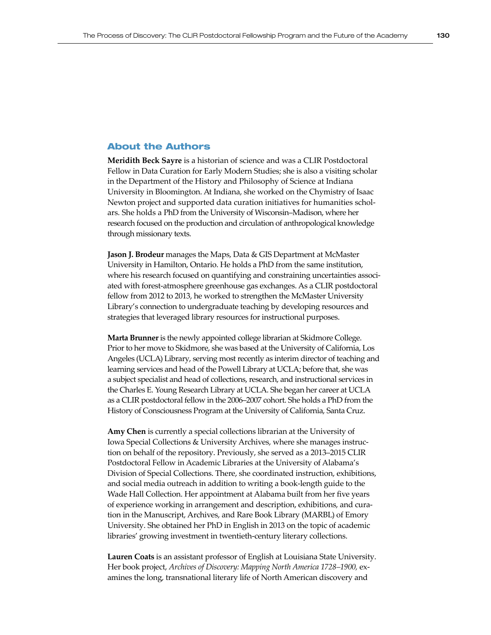## About the Authors

**Meridith Beck Sayre** is a historian of science and was a CLIR Postdoctoral Fellow in Data Curation for Early Modern Studies; she is also a visiting scholar in the Department of the History and Philosophy of Science at Indiana University in Bloomington. At Indiana, she worked on the Chymistry of Isaac Newton project and supported data curation initiatives for humanities scholars. She holds a PhD from the University of Wisconsin–Madison, where her research focused on the production and circulation of anthropological knowledge through missionary texts.

**Jason J. Brodeur** manages the Maps, Data & GIS Department at McMaster University in Hamilton, Ontario. He holds a PhD from the same institution, where his research focused on quantifying and constraining uncertainties associated with forest-atmosphere greenhouse gas exchanges. As a CLIR postdoctoral fellow from 2012 to 2013, he worked to strengthen the McMaster University Library's connection to undergraduate teaching by developing resources and strategies that leveraged library resources for instructional purposes.

**Marta Brunner** is the newly appointed college librarian at Skidmore College. Prior to her move to Skidmore, she was based at the University of California, Los Angeles (UCLA) Library, serving most recently as interim director of teaching and learning services and head of the Powell Library at UCLA; before that, she was a subject specialist and head of collections, research, and instructional services in the Charles E. Young Research Library at UCLA. She began her career at UCLA as a CLIR postdoctoral fellow in the 2006–2007 cohort. She holds a PhD from the History of Consciousness Program at the University of California, Santa Cruz.

**Amy Chen** is currently a special collections librarian at the University of Iowa Special Collections & University Archives, where she manages instruction on behalf of the repository. Previously, she served as a 2013–2015 CLIR Postdoctoral Fellow in Academic Libraries at the University of Alabama's Division of Special Collections. There, she coordinated instruction, exhibitions, and social media outreach in addition to writing a book-length guide to the Wade Hall Collection. Her appointment at Alabama built from her five years of experience working in arrangement and description, exhibitions, and curation in the Manuscript, Archives, and Rare Book Library (MARBL) of Emory University. She obtained her PhD in English in 2013 on the topic of academic libraries' growing investment in twentieth-century literary collections.

**Lauren Coats** is an assistant professor of English at Louisiana State University. Her book project, *Archives of Discovery: Mapping North America 1728–1900, ex*amines the long, transnational literary life of North American discovery and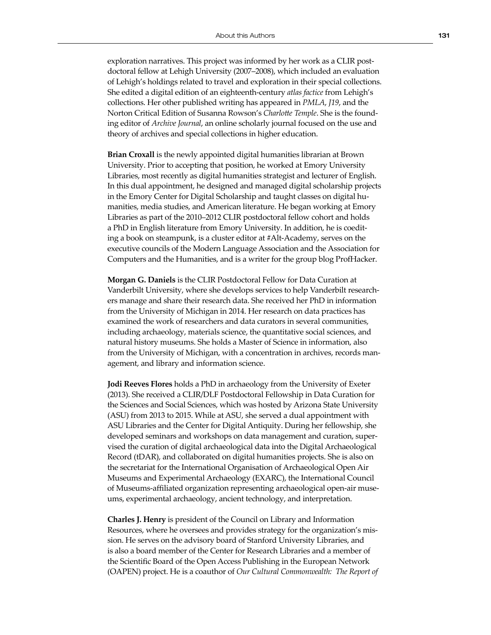exploration narratives. This project was informed by her work as a CLIR postdoctoral fellow at Lehigh University (2007–2008), which included an evaluation of Lehigh's holdings related to travel and exploration in their special collections. She edited a digital edition of an eighteenth-century *atlas factice* from Lehigh's collections. Her other published writing has appeared in *PMLA*, *J19*, and the Norton Critical Edition of Susanna Rowson's *Charlotte Temple*. She is the founding editor of *Archive Journal*, an online scholarly journal focused on the use and theory of archives and special collections in higher education.

**Brian Croxall** is the newly appointed digital humanities librarian at Brown University. Prior to accepting that position, he worked at Emory University Libraries, most recently as digital humanities strategist and lecturer of English. In this dual appointment, he designed and managed digital scholarship projects in the Emory Center for Digital Scholarship and taught classes on digital humanities, media studies, and American literature. He began working at Emory Libraries as part of the 2010–2012 CLIR postdoctoral fellow cohort and holds a PhD in English literature from Emory University. In addition, he is coediting a book on steampunk, is a cluster editor at #Alt-Academy, serves on the executive councils of the Modern Language Association and the Association for Computers and the Humanities, and is a writer for the group blog ProfHacker.

**Morgan G. Daniels** is the CLIR Postdoctoral Fellow for Data Curation at Vanderbilt University, where she develops services to help Vanderbilt researchers manage and share their research data. She received her PhD in information from the University of Michigan in 2014. Her research on data practices has examined the work of researchers and data curators in several communities, including archaeology, materials science, the quantitative social sciences, and natural history museums. She holds a Master of Science in information, also from the University of Michigan, with a concentration in archives, records management, and library and information science.

**Jodi Reeves Flores** holds a PhD in archaeology from the University of Exeter (2013). She received a CLIR/DLF Postdoctoral Fellowship in Data Curation for the Sciences and Social Sciences, which was hosted by Arizona State University (ASU) from 2013 to 2015. While at ASU, she served a dual appointment with ASU Libraries and the Center for Digital Antiquity. During her fellowship, she developed seminars and workshops on data management and curation, supervised the curation of digital archaeological data into the Digital Archaeological Record (tDAR), and collaborated on digital humanities projects. She is also on the secretariat for the International Organisation of Archaeological Open Air Museums and Experimental Archaeology (EXARC), the International Council of Museums-affiliated organization representing archaeological open-air museums, experimental archaeology, ancient technology, and interpretation.

**Charles J. Henry** is president of the Council on Library and Information Resources, where he oversees and provides strategy for the organization's mission. He serves on the advisory board of Stanford University Libraries, and is also a board member of the Center for Research Libraries and a member of the Scientific Board of the Open Access Publishing in the European Network (OAPEN) project. He is a coauthor of *Our Cultural Commonwealth: The Report of*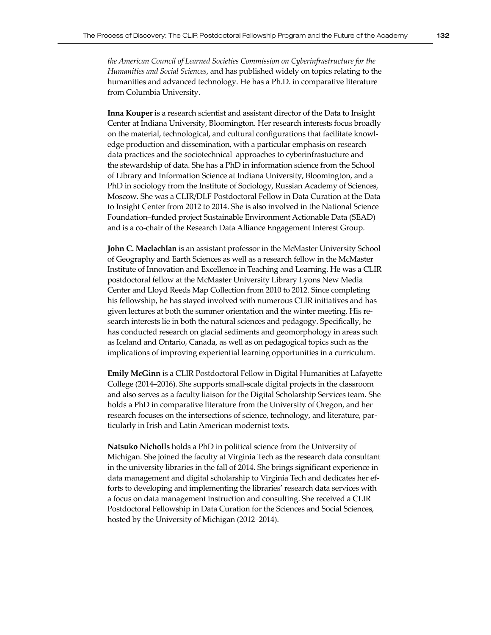*the American Council of Learned Societies Commission on Cyberinfrastructure for the Humanities and Social Sciences*, and has published widely on topics relating to the humanities and advanced technology. He has a Ph.D. in comparative literature from Columbia University.

**Inna Kouper** is a research scientist and assistant director of the Data to Insight Center at Indiana University, Bloomington. Her research interests focus broadly on the material, technological, and cultural configurations that facilitate knowledge production and dissemination, with a particular emphasis on research data practices and the sociotechnical approaches to cyberinfrastucture and the stewardship of data. She has a PhD in information science from the School of Library and Information Science at Indiana University, Bloomington, and a PhD in sociology from the Institute of Sociology, Russian Academy of Sciences, Moscow. She was a CLIR/DLF Postdoctoral Fellow in Data Curation at the Data to Insight Center from 2012 to 2014. She is also involved in the National Science Foundation–funded project Sustainable Environment Actionable Data (SEAD) and is a co-chair of the Research Data Alliance Engagement Interest Group.

**John C. Maclachlan** is an assistant professor in the McMaster University School of Geography and Earth Sciences as well as a research fellow in the McMaster Institute of Innovation and Excellence in Teaching and Learning. He was a CLIR postdoctoral fellow at the McMaster University Library Lyons New Media Center and Lloyd Reeds Map Collection from 2010 to 2012. Since completing his fellowship, he has stayed involved with numerous CLIR initiatives and has given lectures at both the summer orientation and the winter meeting. His research interests lie in both the natural sciences and pedagogy. Specifically, he has conducted research on glacial sediments and geomorphology in areas such as Iceland and Ontario, Canada, as well as on pedagogical topics such as the implications of improving experiential learning opportunities in a curriculum.

**Emily McGinn** is a CLIR Postdoctoral Fellow in Digital Humanities at Lafayette College (2014–2016). She supports small-scale digital projects in the classroom and also serves as a faculty liaison for the Digital Scholarship Services team. She holds a PhD in comparative literature from the University of Oregon, and her research focuses on the intersections of science, technology, and literature, particularly in Irish and Latin American modernist texts.

**Natsuko Nicholls** holds a PhD in political science from the University of Michigan. She joined the faculty at Virginia Tech as the research data consultant in the university libraries in the fall of 2014. She brings significant experience in data management and digital scholarship to Virginia Tech and dedicates her efforts to developing and implementing the libraries' research data services with a focus on data management instruction and consulting. She received a CLIR Postdoctoral Fellowship in Data Curation for the Sciences and Social Sciences, hosted by the University of Michigan (2012–2014).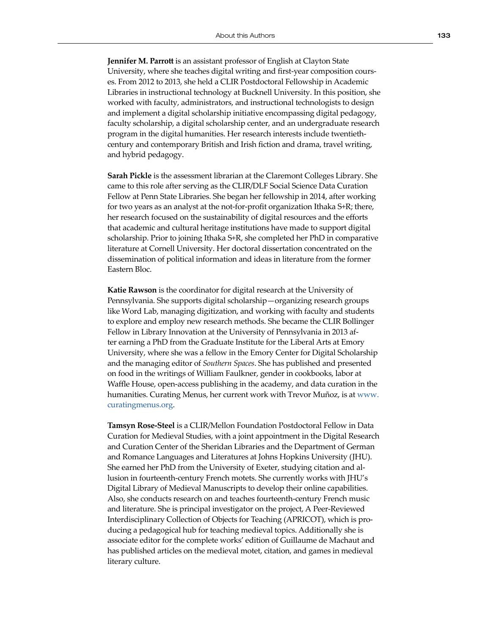**Jennifer M. Parrott** is an assistant professor of English at Clayton State University, where she teaches digital writing and first-year composition courses. From 2012 to 2013, she held a CLIR Postdoctoral Fellowship in Academic Libraries in instructional technology at Bucknell University. In this position, she worked with faculty, administrators, and instructional technologists to design and implement a digital scholarship initiative encompassing digital pedagogy, faculty scholarship, a digital scholarship center, and an undergraduate research program in the digital humanities. Her research interests include twentiethcentury and contemporary British and Irish fiction and drama, travel writing, and hybrid pedagogy.

**Sarah Pickle** is the assessment librarian at the Claremont Colleges Library. She came to this role after serving as the CLIR/DLF Social Science Data Curation Fellow at Penn State Libraries. She began her fellowship in 2014, after working for two years as an analyst at the not-for-profit organization Ithaka S+R; there, her research focused on the sustainability of digital resources and the efforts that academic and cultural heritage institutions have made to support digital scholarship. Prior to joining Ithaka S+R, she completed her PhD in comparative literature at Cornell University. Her doctoral dissertation concentrated on the dissemination of political information and ideas in literature from the former Eastern Bloc.

**Katie Rawson** is the coordinator for digital research at the University of Pennsylvania. She supports digital scholarship—organizing research groups like Word Lab, managing digitization, and working with faculty and students to explore and employ new research methods. She became the CLIR Bollinger Fellow in Library Innovation at the University of Pennsylvania in 2013 after earning a PhD from the Graduate Institute for the Liberal Arts at Emory University, where she was a fellow in the Emory Center for Digital Scholarship and the managing editor of *Southern Spaces*. She has published and presented on food in the writings of William Faulkner, gender in cookbooks, labor at Waffle House, open-access publishing in the academy, and data curation in the humanities. Curating Menus, her current work with Trevor Muñoz, is at [www.](http://www.curatingmenus.org/) [curatingmenus.org](http://www.curatingmenus.org/).

**Tamsyn Rose-Steel** is a CLIR/Mellon Foundation Postdoctoral Fellow in Data Curation for Medieval Studies, with a joint appointment in the Digital Research and Curation Center of the Sheridan Libraries and the Department of German and Romance Languages and Literatures at Johns Hopkins University (JHU). She earned her PhD from the University of Exeter, studying citation and allusion in fourteenth-century French motets. She currently works with JHU's Digital Library of Medieval Manuscripts to develop their online capabilities. Also, she conducts research on and teaches fourteenth-century French music and literature. She is principal investigator on the project, A Peer-Reviewed Interdisciplinary Collection of Objects for Teaching (APRICOT), which is producing a pedagogical hub for teaching medieval topics. Additionally she is associate editor for the complete works' edition of Guillaume de Machaut and has published articles on the medieval motet, citation, and games in medieval literary culture.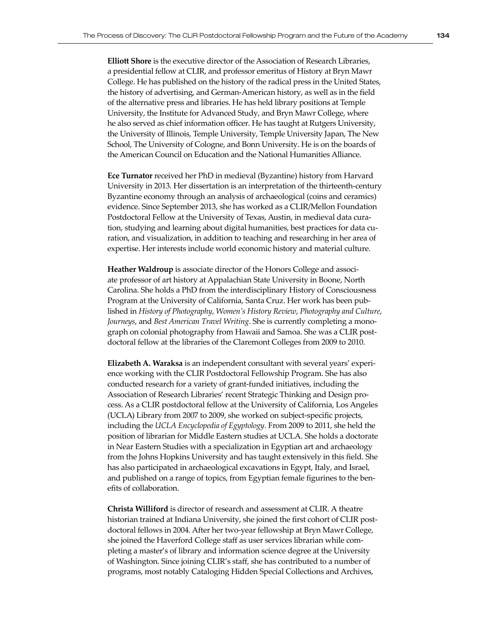**Elliott Shore** is the executive director of the Association of Research Libraries, a presidential fellow at CLIR, and professor emeritus of History at Bryn Mawr College. He has published on the history of the radical press in the United States, the history of advertising, and German-American history, as well as in the field of the alternative press and libraries. He has held library positions at Temple University, the Institute for Advanced Study, and Bryn Mawr College, where he also served as chief information officer. He has taught at Rutgers University, the University of Illinois, Temple University, Temple University Japan, The New School, The University of Cologne, and Bonn University. He is on the boards of the American Council on Education and the National Humanities Alliance.

**Ece Turnator** received her PhD in medieval (Byzantine) history from Harvard University in 2013. Her dissertation is an interpretation of the thirteenth-century Byzantine economy through an analysis of archaeological (coins and ceramics) evidence. Since September 2013, she has worked as a CLIR/Mellon Foundation Postdoctoral Fellow at the University of Texas, Austin, in medieval data curation, studying and learning about digital humanities, best practices for data curation, and visualization, in addition to teaching and researching in her area of expertise. Her interests include world economic history and material culture.

**Heather Waldroup** is associate director of the Honors College and associate professor of art history at Appalachian State University in Boone, North Carolina. She holds a PhD from the interdisciplinary History of Consciousness Program at the University of California, Santa Cruz. Her work has been published in *History of Photography*, *Women's History Review*, *Photography and Culture*, *Journeys*, and *Best American Travel Writing*. She is currently completing a monograph on colonial photography from Hawaii and Samoa. She was a CLIR postdoctoral fellow at the libraries of the Claremont Colleges from 2009 to 2010.

**Elizabeth A. Waraksa** is an independent consultant with several years' experience working with the CLIR Postdoctoral Fellowship Program. She has also conducted research for a variety of grant-funded initiatives, including the Association of Research Libraries' recent Strategic Thinking and Design process. As a CLIR postdoctoral fellow at the University of California, Los Angeles (UCLA) Library from 2007 to 2009, she worked on subject-specific projects, including the *UCLA Encyclopedia of Egyptology*. From 2009 to 2011, she held the position of librarian for Middle Eastern studies at UCLA. She holds a doctorate in Near Eastern Studies with a specialization in Egyptian art and archaeology from the Johns Hopkins University and has taught extensively in this field. She has also participated in archaeological excavations in Egypt, Italy, and Israel, and published on a range of topics, from Egyptian female figurines to the benefits of collaboration.

**Christa Williford** is director of research and assessment at CLIR. A theatre historian trained at Indiana University, she joined the first cohort of CLIR postdoctoral fellows in 2004. After her two-year fellowship at Bryn Mawr College, she joined the Haverford College staff as user services librarian while completing a master's of library and information science degree at the University of Washington. Since joining CLIR's staff, she has contributed to a number of programs, most notably Cataloging Hidden Special Collections and Archives,